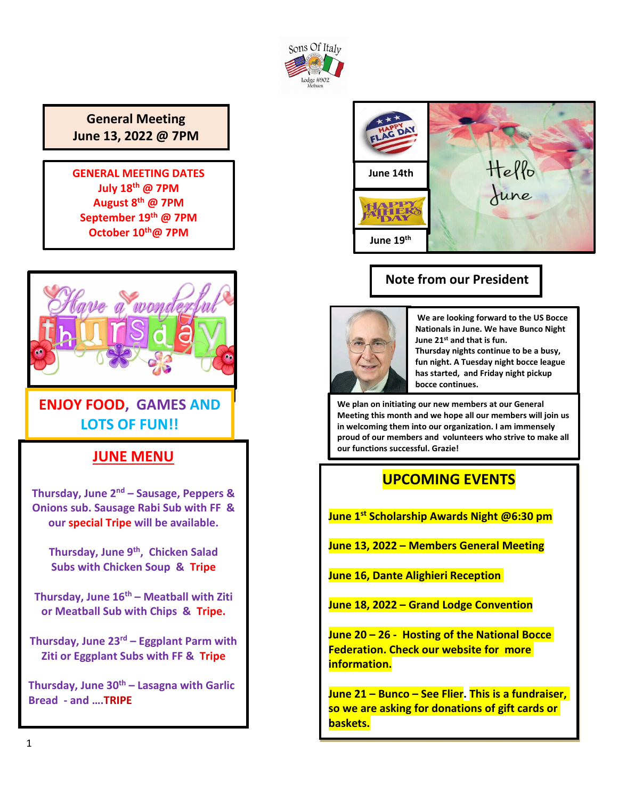

### **General Meeting June 13, 2022 @ 7PM**

**GENERAL MEETING DATES July 18th @ 7PM August 8th @ 7PM September 19th @ 7PM October 10th@ 7PM**



### **ENJOY FOOD, GAMES AND LOTS OF FUN!!**

### **JUNE MENU**

**Thursday, June 2nd – Sausage, Peppers & Onions sub. Sausage Rabi Sub with FF & our special Tripe will be available.**

**Thursday, June 9th, Chicken Salad Subs with Chicken Soup & Tripe**

**Thursday, June 16th – Meatball with Ziti or Meatball Sub with Chips & Tripe.**

**Thursday, June 23rd – Eggplant Parm with Ziti or Eggplant Subs with FF & Tripe**

**Thursday, June 30th – Lasagna with Garlic Bread - and ….TRIPE**



### **Note from our President**



**We are looking forward to the US Bocce Nationals in June. We have Bunco Night June 21st and that is fun.** 

**Thursday nights continue to be a busy, fun night. A Tuesday night bocce league has started, and Friday night pickup bocce continues.**

**We plan on initiating our new members at our General Meeting this month and we hope all our members will join us in welcoming them into our organization. I am immensely proud of our members and volunteers who strive to make all our functions successful. Grazie!**

### **UPCOMING EVENTS**

**June 1st Scholarship Awards Night @6:30 pm**

**June 13, 2022 – Members General Meeting**

**June 16, Dante Alighieri Reception** 

**June 18, 2022 – Grand Lodge Convention**

**June 20 – 26 - Hosting of the National Bocce Federation. Check our website for more information.**

**June 21 – Bunco – See Flier. This is a fundraiser, so we are asking for donations of gift cards or baskets.**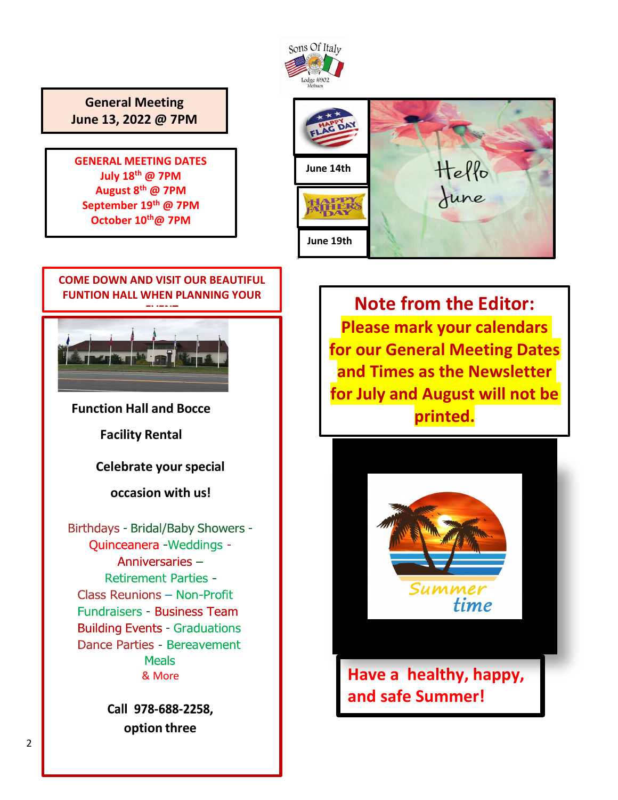

**General Meeting June 13, 2022 @ 7PM**

**GENERAL MEETING DATES July 18th @ 7PM August 8th @ 7PM September 19th @ 7PM October 10th@ 7PM**





**Retirement Parties -**Class Reunions - Non-Profit **Fundraisers - Business Team Building Events - Graduations** Dance Parties - Bereavement **Meals** & More

> Call 978-688-2258. **option three**

**Note from the Editor: Please mark your calendars for our General Meeting Dates and Times as the Newsletter for July and August will not be printed.**



**Have a healthy, happy, and safe Summer!**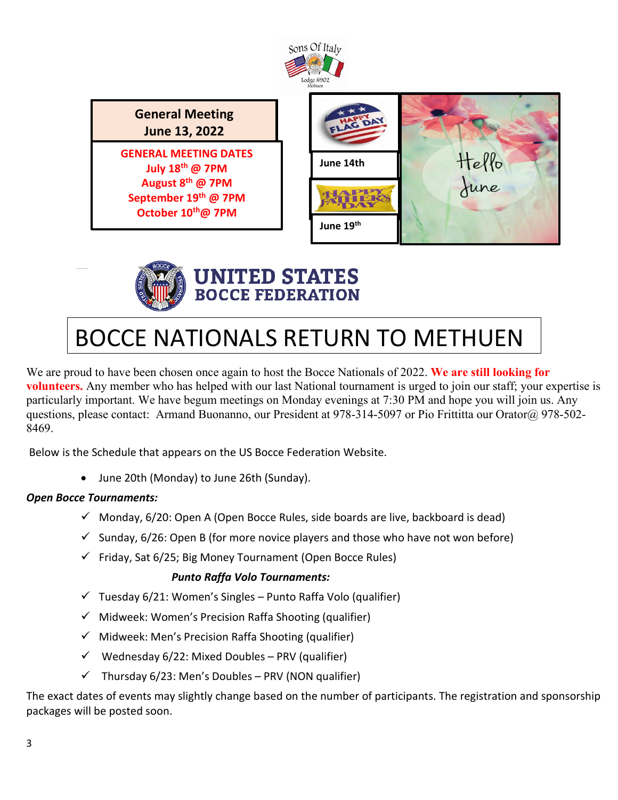

**General Meeting June 13, 2022**

**GENERAL MEETING DATES July 18th @ 7PM August 8th @ 7PM September 19th @ 7PM October 10th@ 7PM**

| FLAC DAY  |               |
|-----------|---------------|
| June 14th | Hello<br>June |
|           |               |
| June 19th |               |



## **UNITED STATES BOCCE FEDERATION**

# BOCCE NATIONALS RETURN TO METHUEN

We are proud to have been chosen once again to host the Bocce Nationals of 2022. We are still looking for **volunteers.** Any member who has helped with our last National tournament is urged to join our staff; your expertise is particularly important. We have begum meetings on Monday evenings at 7:30 PM and hope you will join us. Any questions, please contact: Armand Buonanno, our President at 978-314-5097 or Pio Frittitta our Orator@ 978-502-8469.

Below is the Schedule that appears on the US Bocce Federation Website.

• June 20th (Monday) to June 26th (Sunday).

### *Open Bocce Tournaments:*

- $\checkmark$  Monday, 6/20: Open A (Open Bocce Rules, side boards are live, backboard is dead)
- $\checkmark$  Sunday, 6/26: Open B (for more novice players and those who have not won before)
- $\checkmark$  Friday, Sat 6/25; Big Money Tournament (Open Bocce Rules)

#### *Punto Raffa Volo Tournaments:*

- $\checkmark$  Tuesday 6/21: Women's Singles Punto Raffa Volo (qualifier)
- $\checkmark$  Midweek: Women's Precision Raffa Shooting (qualifier)
- $\checkmark$  Midweek: Men's Precision Raffa Shooting (qualifier)
- $\checkmark$  Wednesday 6/22: Mixed Doubles PRV (qualifier)
- $\checkmark$  Thursday 6/23: Men's Doubles PRV (NON qualifier)

The exact dates of events may slightly change based on the number of participants. The registration and sponsorship packages will be posted soon.